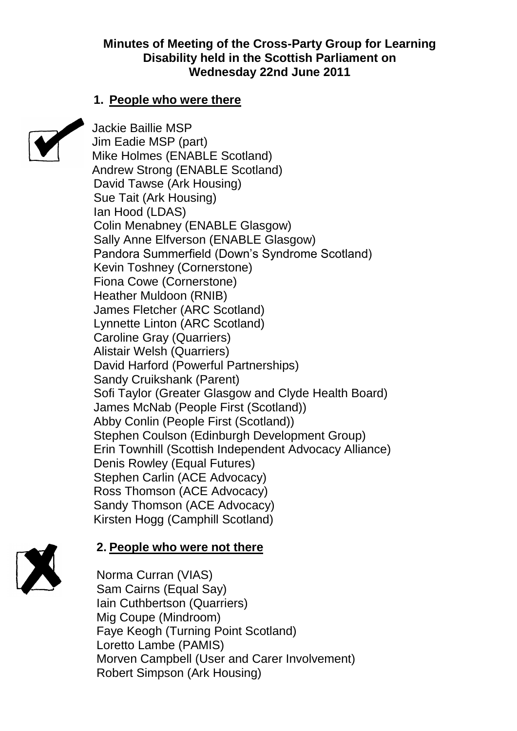#### **Minutes of Meeting of the Cross-Party Group for Learning Disability held in the Scottish Parliament on Wednesday 22nd June 2011**

#### **1. People who were there**



Jackie Baillie MSP Jim Eadie MSP (part) Mike Holmes (ENABLE Scotland) Andrew Strong (ENABLE Scotland) David Tawse (Ark Housing) Sue Tait (Ark Housing) Ian Hood (LDAS) Colin Menabney (ENABLE Glasgow) Sally Anne Elfverson (ENABLE Glasgow) Pandora Summerfield (Down's Syndrome Scotland) Kevin Toshney (Cornerstone) Fiona Cowe (Cornerstone) Heather Muldoon (RNIB) James Fletcher (ARC Scotland) Lynnette Linton (ARC Scotland) Caroline Gray (Quarriers) Alistair Welsh (Quarriers) David Harford (Powerful Partnerships) Sandy Cruikshank (Parent) Sofi Taylor (Greater Glasgow and Clyde Health Board) James McNab (People First (Scotland)) Abby Conlin (People First (Scotland)) Stephen Coulson (Edinburgh Development Group) Erin Townhill (Scottish Independent Advocacy Alliance) Denis Rowley (Equal Futures) Stephen Carlin (ACE Advocacy) Ross Thomson (ACE Advocacy) Sandy Thomson (ACE Advocacy) Kirsten Hogg (Camphill Scotland)



# **2. People who were not there**

Norma Curran (VIAS) Sam Cairns (Equal Say) Iain Cuthbertson (Quarriers) Mig Coupe (Mindroom) Faye Keogh (Turning Point Scotland) Loretto Lambe (PAMIS) Morven Campbell (User and Carer Involvement) Robert Simpson (Ark Housing)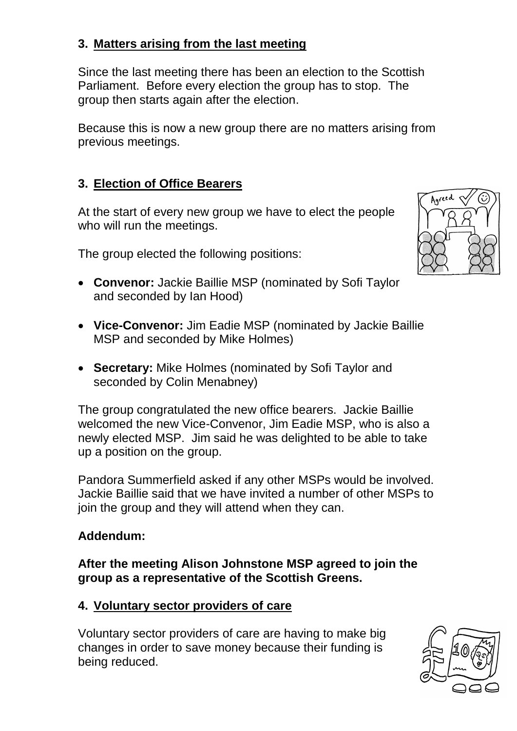# **3. Matters arising from the last meeting**

Since the last meeting there has been an election to the Scottish Parliament. Before every election the group has to stop. The group then starts again after the election.

Because this is now a new group there are no matters arising from previous meetings.

# **3. Election of Office Bearers**

At the start of every new group we have to elect the people who will run the meetings.

The group elected the following positions:

- **Convenor:** Jackie Baillie MSP (nominated by Sofi Taylor and seconded by Ian Hood)
- **Vice-Convenor:** Jim Eadie MSP (nominated by Jackie Baillie MSP and seconded by Mike Holmes)
- **Secretary:** Mike Holmes (nominated by Sofi Taylor and seconded by Colin Menabney)

The group congratulated the new office bearers. Jackie Baillie welcomed the new Vice-Convenor, Jim Eadie MSP, who is also a newly elected MSP. Jim said he was delighted to be able to take up a position on the group.

Pandora Summerfield asked if any other MSPs would be involved. Jackie Baillie said that we have invited a number of other MSPs to join the group and they will attend when they can.

# **Addendum:**

**After the meeting Alison Johnstone MSP agreed to join the group as a representative of the Scottish Greens.**

# **4. Voluntary sector providers of care**

Voluntary sector providers of care are having to make big changes in order to save money because their funding is being reduced.



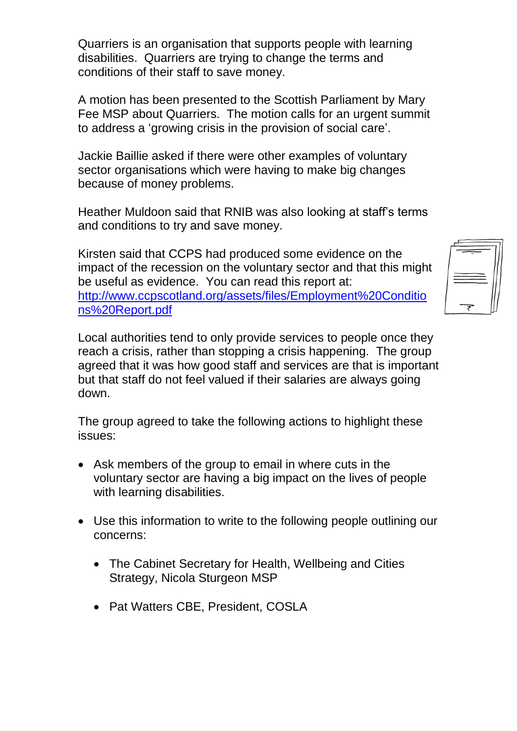Quarriers is an organisation that supports people with learning disabilities. Quarriers are trying to change the terms and conditions of their staff to save money.

A motion has been presented to the Scottish Parliament by Mary Fee MSP about Quarriers. The motion calls for an urgent summit to address a 'growing crisis in the provision of social care'.

Jackie Baillie asked if there were other examples of voluntary sector organisations which were having to make big changes because of money problems.

Heather Muldoon said that RNIB was also looking at staff's terms and conditions to try and save money.

Kirsten said that CCPS had produced some evidence on the impact of the recession on the voluntary sector and that this might be useful as evidence. You can read this report at: [http://www.ccpscotland.org/assets/files/Employment%20Conditio](http://www.ccpscotland.org/assets/files/Employment%20Conditions%20Report.pdf) [ns%20Report.pdf](http://www.ccpscotland.org/assets/files/Employment%20Conditions%20Report.pdf)

Local authorities tend to only provide services to people once they reach a crisis, rather than stopping a crisis happening. The group agreed that it was how good staff and services are that is important but that staff do not feel valued if their salaries are always going down.

The group agreed to take the following actions to highlight these issues:

- Ask members of the group to email in where cuts in the voluntary sector are having a big impact on the lives of people with learning disabilities.
- Use this information to write to the following people outlining our concerns:
	- The Cabinet Secretary for Health, Wellbeing and Cities Strategy, Nicola Sturgeon MSP
	- Pat Watters CBE, President, COSLA

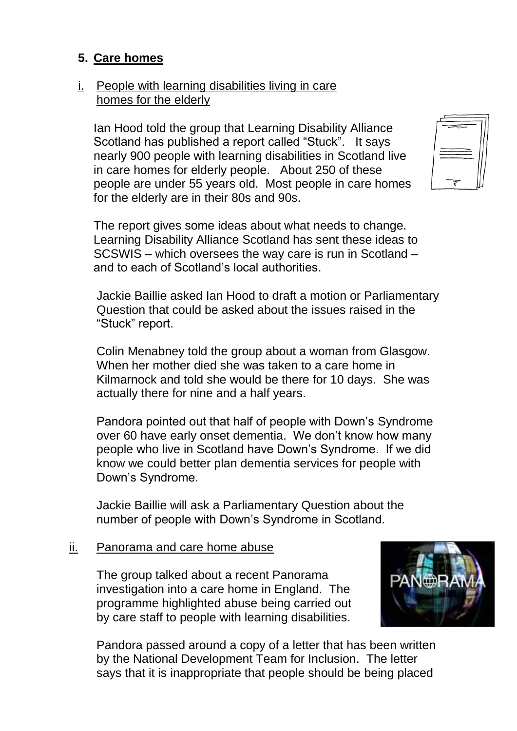### **5. Care homes**

#### i. People with learning disabilities living in care homes for the elderly

Ian Hood told the group that Learning Disability Alliance Scotland has published a report called "Stuck". It says nearly 900 people with learning disabilities in Scotland live in care homes for elderly people. About 250 of these people are under 55 years old. Most people in care homes for the elderly are in their 80s and 90s.

The report gives some ideas about what needs to change. Learning Disability Alliance Scotland has sent these ideas to SCSWIS – which oversees the way care is run in Scotland – and to each of Scotland's local authorities.

Jackie Baillie asked Ian Hood to draft a motion or Parliamentary Question that could be asked about the issues raised in the "Stuck" report.

Colin Menabney told the group about a woman from Glasgow. When her mother died she was taken to a care home in Kilmarnock and told she would be there for 10 days. She was actually there for nine and a half years.

Pandora pointed out that half of people with Down's Syndrome over 60 have early onset dementia. We don't know how many people who live in Scotland have Down's Syndrome. If we did know we could better plan dementia services for people with Down's Syndrome.

Jackie Baillie will ask a Parliamentary Question about the number of people with Down's Syndrome in Scotland.

#### ii. Panorama and care home abuse

The group talked about a recent Panorama investigation into a care home in England. The programme highlighted abuse being carried out by care staff to people with learning disabilities.



Pandora passed around a copy of a letter that has been written by the National Development Team for Inclusion. The letter says that it is inappropriate that people should be being placed

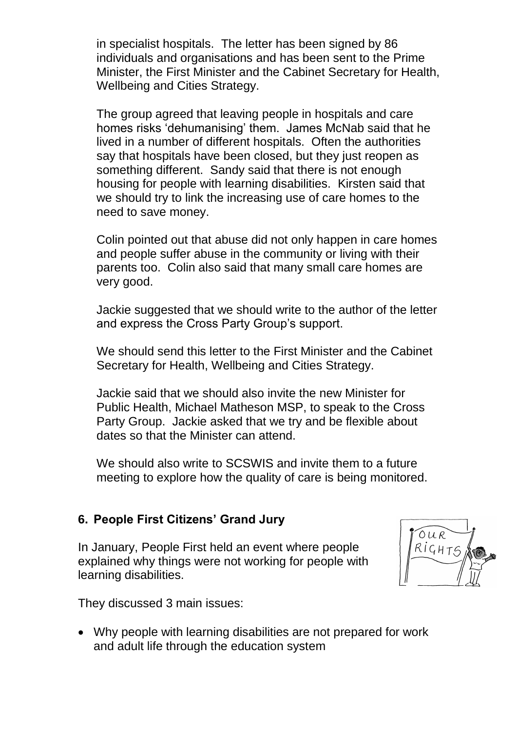in specialist hospitals. The letter has been signed by 86 individuals and organisations and has been sent to the Prime Minister, the First Minister and the Cabinet Secretary for Health, Wellbeing and Cities Strategy.

The group agreed that leaving people in hospitals and care homes risks 'dehumanising' them. James McNab said that he lived in a number of different hospitals. Often the authorities say that hospitals have been closed, but they just reopen as something different. Sandy said that there is not enough housing for people with learning disabilities. Kirsten said that we should try to link the increasing use of care homes to the need to save money.

Colin pointed out that abuse did not only happen in care homes and people suffer abuse in the community or living with their parents too. Colin also said that many small care homes are very good.

Jackie suggested that we should write to the author of the letter and express the Cross Party Group's support.

We should send this letter to the First Minister and the Cabinet Secretary for Health, Wellbeing and Cities Strategy.

Jackie said that we should also invite the new Minister for Public Health, Michael Matheson MSP, to speak to the Cross Party Group. Jackie asked that we try and be flexible about dates so that the Minister can attend.

We should also write to SCSWIS and invite them to a future meeting to explore how the quality of care is being monitored.

#### **6. People First Citizens' Grand Jury**

In January, People First held an event where people explained why things were not working for people with learning disabilities.



They discussed 3 main issues:

 Why people with learning disabilities are not prepared for work and adult life through the education system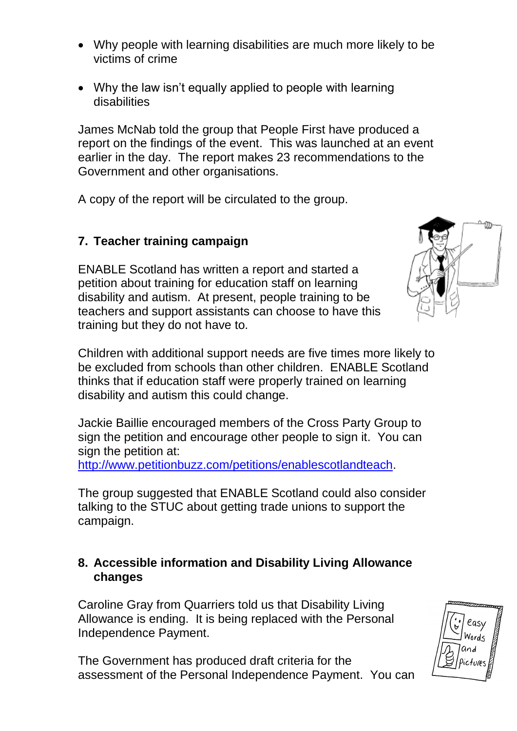- Why people with learning disabilities are much more likely to be victims of crime
- Why the law isn't equally applied to people with learning disabilities

James McNab told the group that People First have produced a report on the findings of the event. This was launched at an event earlier in the day. The report makes 23 recommendations to the Government and other organisations.

A copy of the report will be circulated to the group.

# **7. Teacher training campaign**

ENABLE Scotland has written a report and started a petition about training for education staff on learning disability and autism. At present, people training to be teachers and support assistants can choose to have this training but they do not have to.

Children with additional support needs are five times more likely to be excluded from schools than other children. ENABLE Scotland thinks that if education staff were properly trained on learning disability and autism this could change.

Jackie Baillie encouraged members of the Cross Party Group to sign the petition and encourage other people to sign it. You can sign the petition at:

[http://www.petitionbuzz.com/petitions/enablescotlandteach.](http://www.petitionbuzz.com/petitions/enablescotlandteach)

The group suggested that ENABLE Scotland could also consider talking to the STUC about getting trade unions to support the campaign.

### **8. Accessible information and Disability Living Allowance changes**

Caroline Gray from Quarriers told us that Disability Living Allowance is ending. It is being replaced with the Personal Independence Payment.

The Government has produced draft criteria for the assessment of the Personal Independence Payment. You can



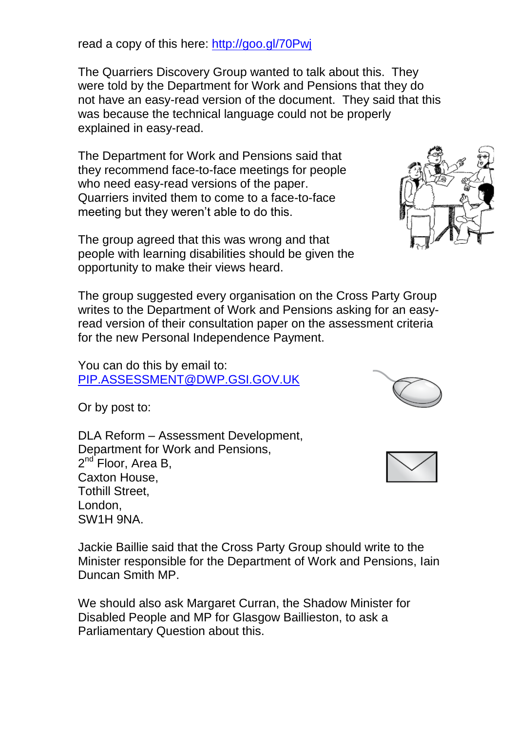read a copy of this here:<http://goo.gl/70Pwj>

The Quarriers Discovery Group wanted to talk about this. They were told by the Department for Work and Pensions that they do not have an easy-read version of the document. They said that this was because the technical language could not be properly explained in easy-read.

The Department for Work and Pensions said that they recommend face-to-face meetings for people who need easy-read versions of the paper. Quarriers invited them to come to a face-to-face meeting but they weren't able to do this.

The group agreed that this was wrong and that people with learning disabilities should be given the opportunity to make their views heard.

The group suggested every organisation on the Cross Party Group writes to the Department of Work and Pensions asking for an easyread version of their consultation paper on the assessment criteria for the new Personal Independence Payment.

You can do this by email to: [PIP.ASSESSMENT@DWP.GSI.GOV.UK](mailto:PIP.ASSESSMENT@DWP.GSI.GOV.UK)

Or by post to:

DLA Reform – Assessment Development, Department for Work and Pensions, 2<sup>nd</sup> Floor, Area B, Caxton House, Tothill Street, London, SW1H 9NA.

Jackie Baillie said that the Cross Party Group should write to the Minister responsible for the Department of Work and Pensions, Iain Duncan Smith MP.

We should also ask Margaret Curran, the Shadow Minister for Disabled People and MP for Glasgow Baillieston, to ask a Parliamentary Question about this.